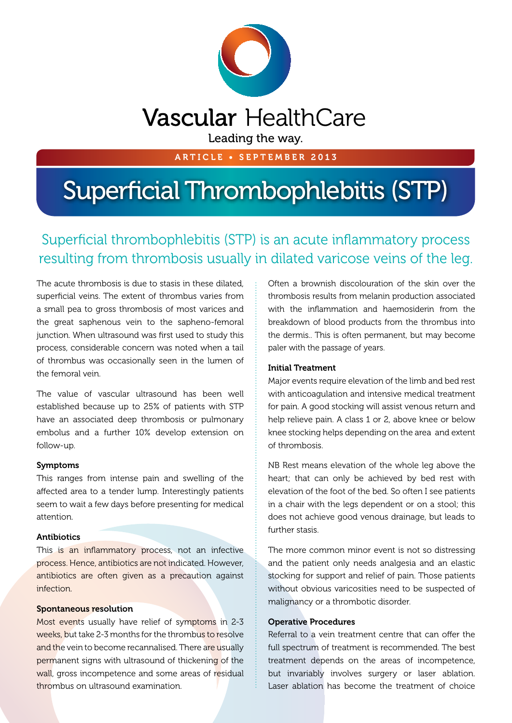

ARTICLE • SEPTEMBER 2013

# Superficial Thrombophlebitis (STP)

## Superficial thrombophlebitis (STP) is an acute inflammatory process resulting from thrombosis usually in dilated varicose veins of the leg.

The acute thrombosis is due to stasis in these dilated, superficial veins. The extent of thrombus varies from a small pea to gross thrombosis of most varices and the great saphenous vein to the sapheno-femoral junction. When ultrasound was first used to study this process, considerable concern was noted when a tail of thrombus was occasionally seen in the lumen of the femoral vein.

The value of vascular ultrasound has been well established because up to 25% of patients with STP have an associated deep thrombosis or pulmonary embolus and a further 10% develop extension on follow-up.

#### Symptoms

This ranges from intense pain and swelling of the affected area to a tender lump. Interestingly patients seem to wait a few days before presenting for medical attention.

#### Antibiotics

This is an inflammatory process, not an infective process. Hence, antibiotics are not indicated. However, antibiotics are often given as a precaution against infection.

#### Spontaneous resolution

Most events usually have relief of symptoms in 2-3 weeks, but take 2-3 months for the thrombus to resolve and the vein to become recannalised. There are usually permanent signs with ultrasound of thickening of the wall, gross incompetence and some areas of residual thrombus on ultrasound examination.

Often a brownish discolouration of the skin over the thrombosis results from melanin production associated with the inflammation and haemosiderin from the breakdown of blood products from the thrombus into the dermis.. This is often permanent, but may become paler with the passage of years.

#### Initial Treatment

Major events require elevation of the limb and bed rest with anticoagulation and intensive medical treatment for pain. A good stocking will assist venous return and help relieve pain. A class 1 or 2, above knee or below knee stocking helps depending on the area and extent of thrombosis.

NB Rest means elevation of the whole leg above the heart; that can only be achieved by bed rest with elevation of the foot of the bed. So often I see patients in a chair with the legs dependent or on a stool; this does not achieve good venous drainage, but leads to further stasis.

The more common minor event is not so distressing and the patient only needs analgesia and an elastic stocking for support and relief of pain. Those patients without obvious varicosities need to be suspected of malignancy or a thrombotic disorder.

#### Operative Procedures

Referral to a vein treatment centre that can offer the full spectrum of treatment is recommended. The best treatment depends on the areas of incompetence, but invariably involves surgery or laser ablation. Laser ablation has become the treatment of choice